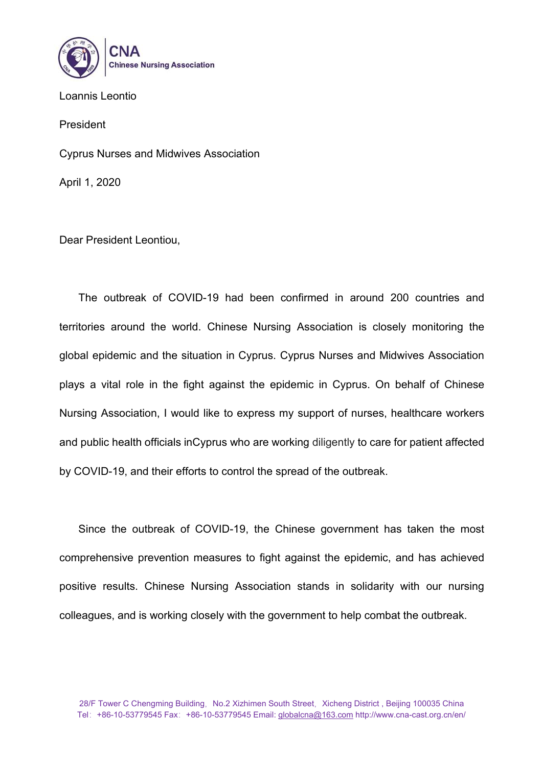

Loannis Leontio

President

Cyprus Nurses and Midwives Association

April 1, 2020

Dear President Leontiou,

The outbreak of COVID-19 had been confirmed in around 200 countries and territories around the world. Chinese Nursing Association is closely monitoring the global epidemic and the situation in Cyprus. Cyprus Nurses and Midwives Association plays a vital role in the fight against the epidemic in Cyprus. On behalf of Chinese Nursing Association, I would like to express my support of nurses, healthcare workers and public health officials inCyprus who are working diligently to care for patient affected by COVID-19, and their efforts to control the spread of the outbreak.

Since the outbreak of COVID-19, the Chinese government has taken the most comprehensive prevention measures to fight against the epidemic, and has achieved positive results. Chinese Nursing Association stands in solidarity with our nursing colleagues, and is working closely with the government to help combat the outbreak.